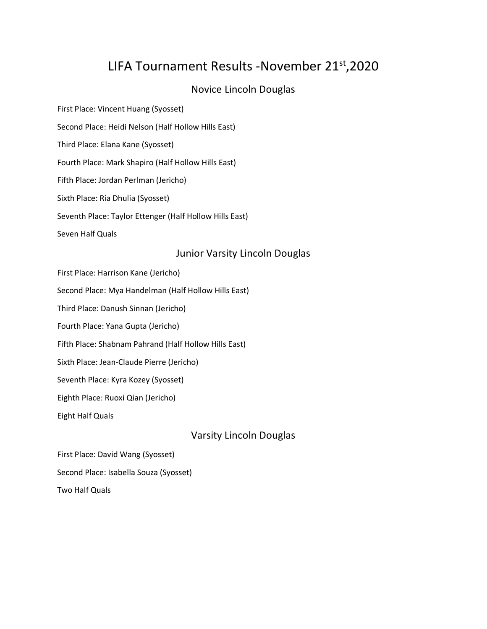# LIFA Tournament Results -November 21<sup>st</sup>, 2020

## Novice Lincoln Douglas

First Place: Vincent Huang (Syosset) Second Place: Heidi Nelson (Half Hollow Hills East) Third Place: Elana Kane (Syosset) Fourth Place: Mark Shapiro (Half Hollow Hills East) Fifth Place: Jordan Perlman (Jericho) Sixth Place: Ria Dhulia (Syosset) Seventh Place: Taylor Ettenger (Half Hollow Hills East) Seven Half Quals

### Junior Varsity Lincoln Douglas

- First Place: Harrison Kane (Jericho)
- Second Place: Mya Handelman (Half Hollow Hills East)
- Third Place: Danush Sinnan (Jericho)
- Fourth Place: Yana Gupta (Jericho)
- Fifth Place: Shabnam Pahrand (Half Hollow Hills East)
- Sixth Place: Jean-Claude Pierre (Jericho)
- Seventh Place: Kyra Kozey (Syosset)
- Eighth Place: Ruoxi Qian (Jericho)
- Eight Half Quals

Varsity Lincoln Douglas

First Place: David Wang (Syosset) Second Place: Isabella Souza (Syosset) Two Half Quals